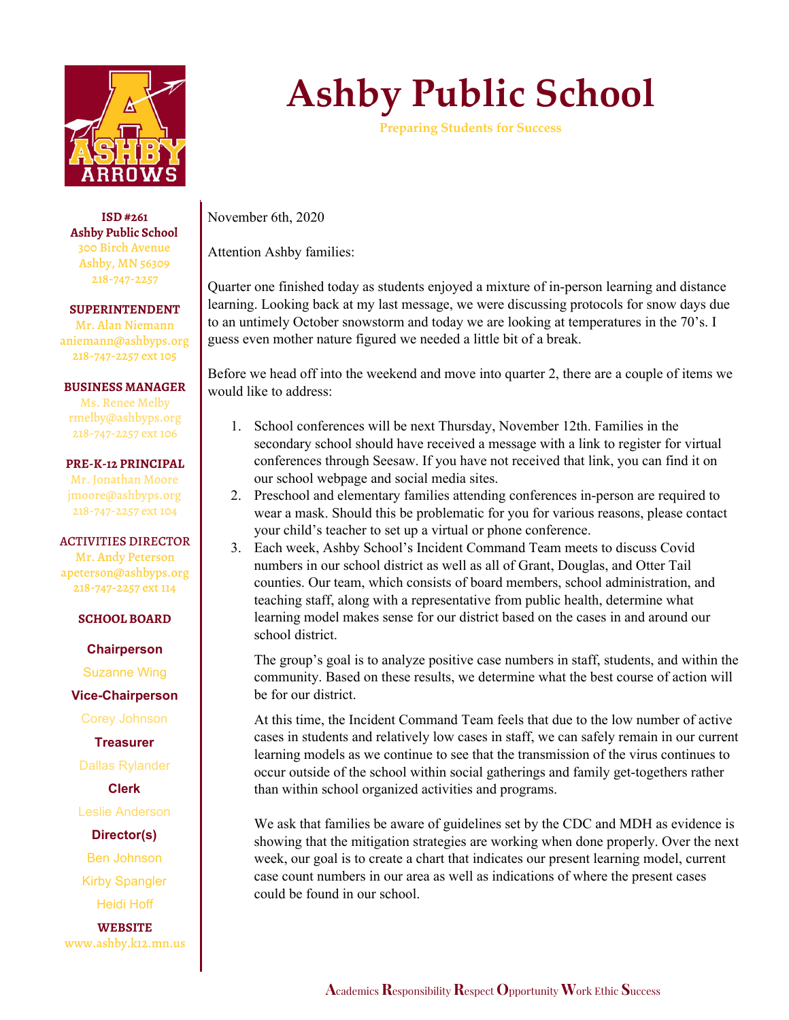

**ISD #261 Ashby Public School** 300 Birch Avenue Ashby, MN 56309 218-747-2257

**SUPERINTENDENT**

Mr. Alan Niemann aniemann@ashbyps.org 218-747-2257 ext 105

**BUSINESS MANAGER**

Ms. Renee Melby rmelby@ashbyps.org 218-747-2257 ext 106

## **PRE-K-12 PRINCIPAL**

Mr. Jonathan Moore jmoore@ashbyps.org 218-747-2257 ext 104

## ACTIVITIES DIRECTOR

Mr. Andy Peterson apeterson@ashbyps.org 218-747-2257 ext 114

## **SCHOOL BOARD**

**Chairperson**

Suzanne Wing

**Vice-Chairperson**

Corey Johnson

**Treasurer**

Dallas Rylander

**Clerk**

Leslie Anderson

**Director(s)**

Ben Johnson

Kirby Spangler

Heidi Hoff

**WEBSITE** www.ashby.k12.mn.us

## **Ashby Public School**

**Preparing Students for Success**

November 6th, 2020

Attention Ashby families:

Quarter one finished today as students enjoyed a mixture of in-person learning and distance learning. Looking back at my last message, we were discussing protocols for snow days due to an untimely October snowstorm and today we are looking at temperatures in the 70's. I guess even mother nature figured we needed a little bit of a break.

Before we head off into the weekend and move into quarter 2, there are a couple of items we would like to address:

- 1. School conferences will be next Thursday, November 12th. Families in the secondary school should have received a message with a link to register for virtual conferences through Seesaw. If you have not received that link, you can find it on our school webpage and social media sites.
- 2. Preschool and elementary families attending conferences in-person are required to wear a mask. Should this be problematic for you for various reasons, please contact your child's teacher to set up a virtual or phone conference.
- 3. Each week, Ashby School's Incident Command Team meets to discuss Covid numbers in our school district as well as all of Grant, Douglas, and Otter Tail counties. Our team, which consists of board members, school administration, and teaching staff, along with a representative from public health, determine what learning model makes sense for our district based on the cases in and around our school district.

The group's goal is to analyze positive case numbers in staff, students, and within the community. Based on these results, we determine what the best course of action will be for our district.

At this time, the Incident Command Team feels that due to the low number of active cases in students and relatively low cases in staff, we can safely remain in our current learning models as we continue to see that the transmission of the virus continues to occur outside of the school within social gatherings and family get-togethers rather than within school organized activities and programs.

We ask that families be aware of guidelines set by the CDC and MDH as evidence is showing that the mitigation strategies are working when done properly. Over the next week, our goal is to create a chart that indicates our present learning model, current case count numbers in our area as well as indications of where the present cases could be found in our school.